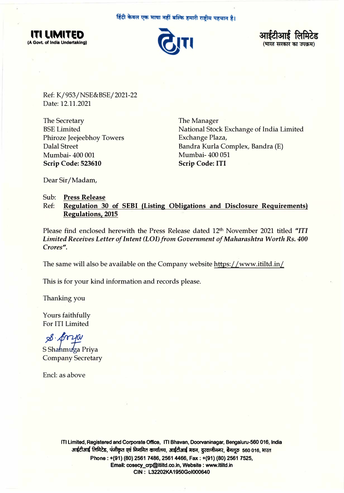हिंदी केवल एक भाषा नहीं बल्कि हमारी राष्ट्रीय पहचान है।







Ref: K/953/NSE&BSE/2021-22 Date: 12.11.2021

The Secretary BSE Limited Phiroze Jeejeebhoy Towers Dalal Street Mumbai- 400 001 **Scrip Code: 523610** 

The Manager National Stock Exchange of India Limited Exchange Plaza, Bandra Kurla Complex, Bandra (E) Mumbai- 400 051 **Scrip Code: ITI** 

Dear Sir/ Madam,

## Sub: **Press Release**  Ref: **Regulation 30 of SEBI (Listing Obligations and Disclosure Requirements) Regulations, 2015**

Please find enclosed herewith the Press Release dated 12th November 2021 titled *"ITI Limited Receives Letter of Intent (LOI) from Government of Maharashtra Worth Rs. 400 Crores".* 

The same will also be available on the Company website https://www.itiltd.in/

This is for your kind information and records please.

Thanking you

Yours faithfully For ITI Limited

 $\mathcal{B} \cdot \mathcal{B}$ ria S Shahmuga Priva

Company Secretary

Encl: as above

**ITI Limited, Registered and Corporate Office, ITI Bhavan, Doorvaninagar, Bengaluru-560 016, India**  anईटीआई लिमिटेड, पंजीकृत एवं निगमित कार्यालय, आईटीआई मवन, दूरवाणीनगर, बैंगलूरु 560 016, **भारत Phone: +(91) (80) 2561 7486, 2561 4466, Fax: +(91) (80) 2561 7525, Email: cosecy\_crp@ltiltd.co.ln, Website: www.ltiltd.in CIN: L32202KA1950Gol000640**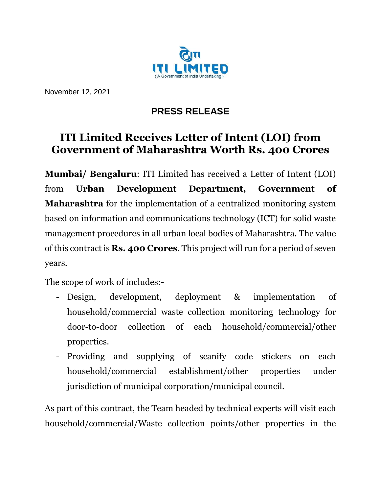

November 12, 2021

## **PRESS RELEASE**

## **ITI Limited Receives Letter of Intent (LOI) from Government of Maharashtra Worth Rs. 400 Crores**

**Mumbai/ Bengaluru**: ITI Limited has received a Letter of Intent (LOI) from **Urban Development Department, Government of Maharashtra** for the implementation of a centralized monitoring system based on information and communications technology (ICT) for solid waste management procedures in all urban local bodies of Maharashtra. The value of this contract is **Rs. 400 Crores**. This project will run for a period of seven years.

The scope of work of includes:-

- Design, development, deployment & implementation of household/commercial waste collection monitoring technology for door-to-door collection of each household/commercial/other properties.
- Providing and supplying of scanify code stickers on each household/commercial establishment/other properties under jurisdiction of municipal corporation/municipal council.

As part of this contract, the Team headed by technical experts will visit each household/commercial/Waste collection points/other properties in the